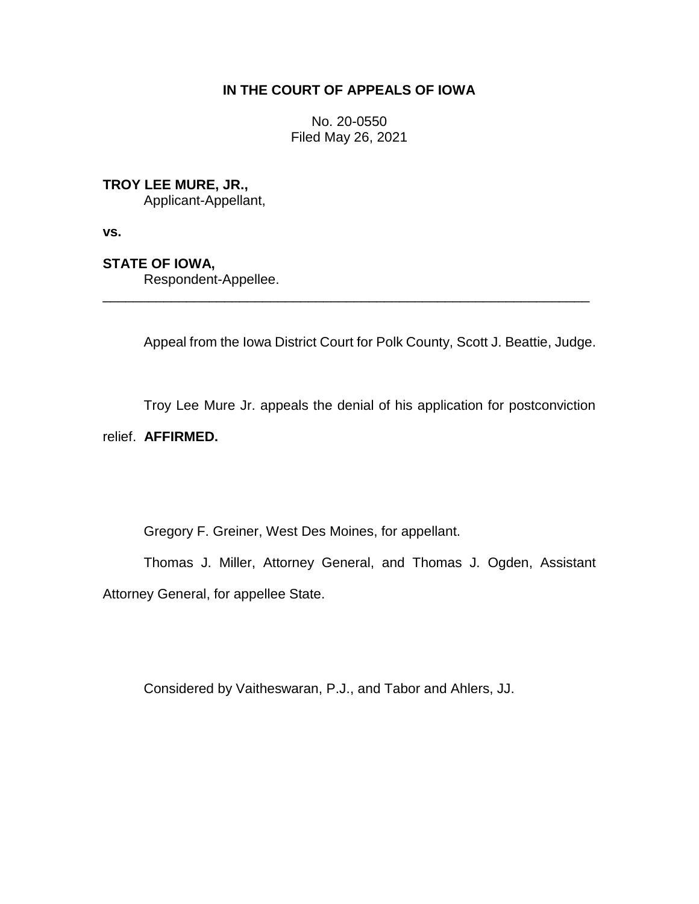# **IN THE COURT OF APPEALS OF IOWA**

No. 20-0550 Filed May 26, 2021

# **TROY LEE MURE, JR.,**

Applicant-Appellant,

**vs.**

## **STATE OF IOWA,**

Respondent-Appellee.

Appeal from the Iowa District Court for Polk County, Scott J. Beattie, Judge.

\_\_\_\_\_\_\_\_\_\_\_\_\_\_\_\_\_\_\_\_\_\_\_\_\_\_\_\_\_\_\_\_\_\_\_\_\_\_\_\_\_\_\_\_\_\_\_\_\_\_\_\_\_\_\_\_\_\_\_\_\_\_\_\_

Troy Lee Mure Jr. appeals the denial of his application for postconviction

### relief. **AFFIRMED.**

Gregory F. Greiner, West Des Moines, for appellant.

Thomas J. Miller, Attorney General, and Thomas J. Ogden, Assistant Attorney General, for appellee State.

Considered by Vaitheswaran, P.J., and Tabor and Ahlers, JJ.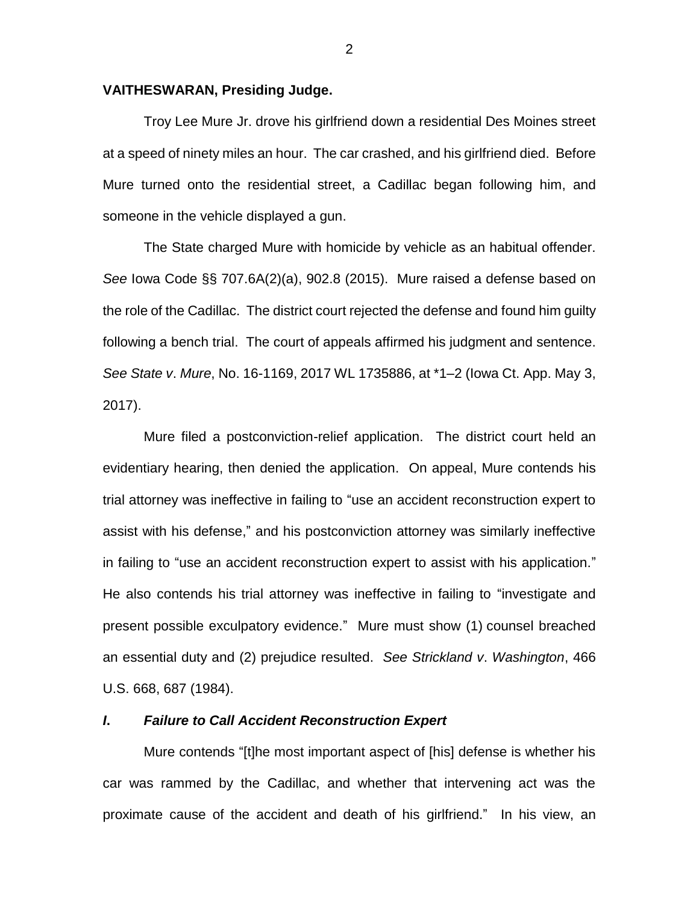#### **VAITHESWARAN, Presiding Judge.**

Troy Lee Mure Jr. drove his girlfriend down a residential Des Moines street at a speed of ninety miles an hour. The car crashed, and his girlfriend died. Before Mure turned onto the residential street, a Cadillac began following him, and someone in the vehicle displayed a gun.

The State charged Mure with homicide by vehicle as an habitual offender. *See* Iowa Code §§ 707.6A(2)(a), 902.8 (2015). Mure raised a defense based on the role of the Cadillac. The district court rejected the defense and found him guilty following a bench trial. The court of appeals affirmed his judgment and sentence. *See State v*. *Mure*, No. 16-1169, 2017 WL 1735886, at \*1–2 (Iowa Ct. App. May 3, 2017).

Mure filed a postconviction-relief application. The district court held an evidentiary hearing, then denied the application. On appeal, Mure contends his trial attorney was ineffective in failing to "use an accident reconstruction expert to assist with his defense," and his postconviction attorney was similarly ineffective in failing to "use an accident reconstruction expert to assist with his application." He also contends his trial attorney was ineffective in failing to "investigate and present possible exculpatory evidence." Mure must show (1) counsel breached an essential duty and (2) prejudice resulted. *See Strickland v*. *Washington*, 466 U.S. 668, 687 (1984).

### *I***.** *Failure to Call Accident Reconstruction Expert*

Mure contends "[t]he most important aspect of [his] defense is whether his car was rammed by the Cadillac, and whether that intervening act was the proximate cause of the accident and death of his girlfriend." In his view, an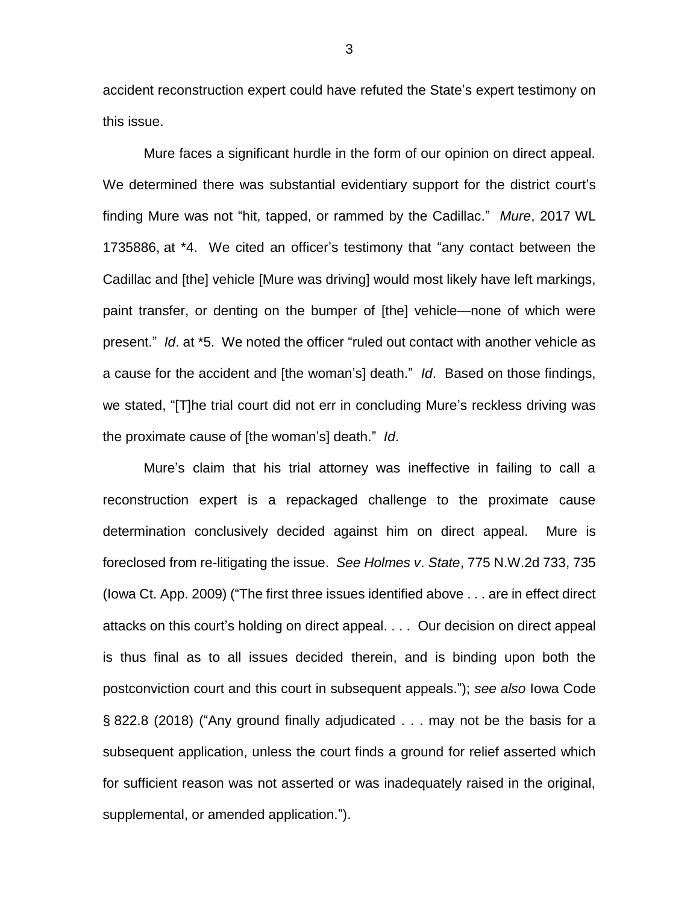accident reconstruction expert could have refuted the State's expert testimony on this issue.

Mure faces a significant hurdle in the form of our opinion on direct appeal. We determined there was substantial evidentiary support for the district court's finding Mure was not "hit, tapped, or rammed by the Cadillac." *Mure*, 2017 WL 1735886, at \*4. We cited an officer's testimony that "any contact between the Cadillac and [the] vehicle [Mure was driving] would most likely have left markings, paint transfer, or denting on the bumper of [the] vehicle—none of which were present." *Id*. at \*5. We noted the officer "ruled out contact with another vehicle as a cause for the accident and [the woman's] death." *Id*. Based on those findings, we stated, "[T]he trial court did not err in concluding Mure's reckless driving was the proximate cause of [the woman's] death." *Id*.

Mure's claim that his trial attorney was ineffective in failing to call a reconstruction expert is a repackaged challenge to the proximate cause determination conclusively decided against him on direct appeal. Mure is foreclosed from re-litigating the issue. *See Holmes v*. *State*, 775 N.W.2d 733, 735 (Iowa Ct. App. 2009) ("The first three issues identified above . . . are in effect direct attacks on this court's holding on direct appeal. . . . Our decision on direct appeal is thus final as to all issues decided therein, and is binding upon both the postconviction court and this court in subsequent appeals."); *see also* Iowa Code § 822.8 (2018) ("Any ground finally adjudicated . . . may not be the basis for a subsequent application, unless the court finds a ground for relief asserted which for sufficient reason was not asserted or was inadequately raised in the original, supplemental, or amended application.").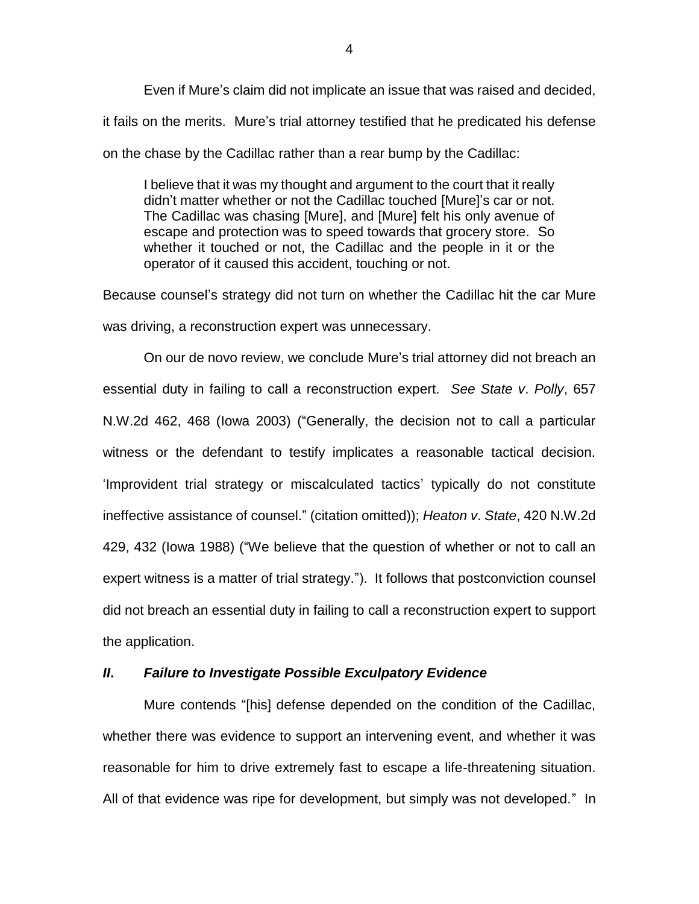Even if Mure's claim did not implicate an issue that was raised and decided, it fails on the merits. Mure's trial attorney testified that he predicated his defense on the chase by the Cadillac rather than a rear bump by the Cadillac:

I believe that it was my thought and argument to the court that it really didn't matter whether or not the Cadillac touched [Mure]'s car or not. The Cadillac was chasing [Mure], and [Mure] felt his only avenue of escape and protection was to speed towards that grocery store. So whether it touched or not, the Cadillac and the people in it or the operator of it caused this accident, touching or not.

Because counsel's strategy did not turn on whether the Cadillac hit the car Mure was driving, a reconstruction expert was unnecessary.

On our de novo review, we conclude Mure's trial attorney did not breach an essential duty in failing to call a reconstruction expert. *See State v*. *Polly*, 657 N.W.2d 462, 468 (Iowa 2003) ("Generally, the decision not to call a particular witness or the defendant to testify implicates a reasonable tactical decision. 'Improvident trial strategy or miscalculated tactics' typically do not constitute ineffective assistance of counsel." (citation omitted)); *Heaton v*. *State*, 420 N.W.2d 429, 432 (Iowa 1988) ("We believe that the question of whether or not to call an expert witness is a matter of trial strategy."). It follows that postconviction counsel did not breach an essential duty in failing to call a reconstruction expert to support the application.

### *II***.** *Failure to Investigate Possible Exculpatory Evidence*

Mure contends "[his] defense depended on the condition of the Cadillac, whether there was evidence to support an intervening event, and whether it was reasonable for him to drive extremely fast to escape a life-threatening situation. All of that evidence was ripe for development, but simply was not developed." In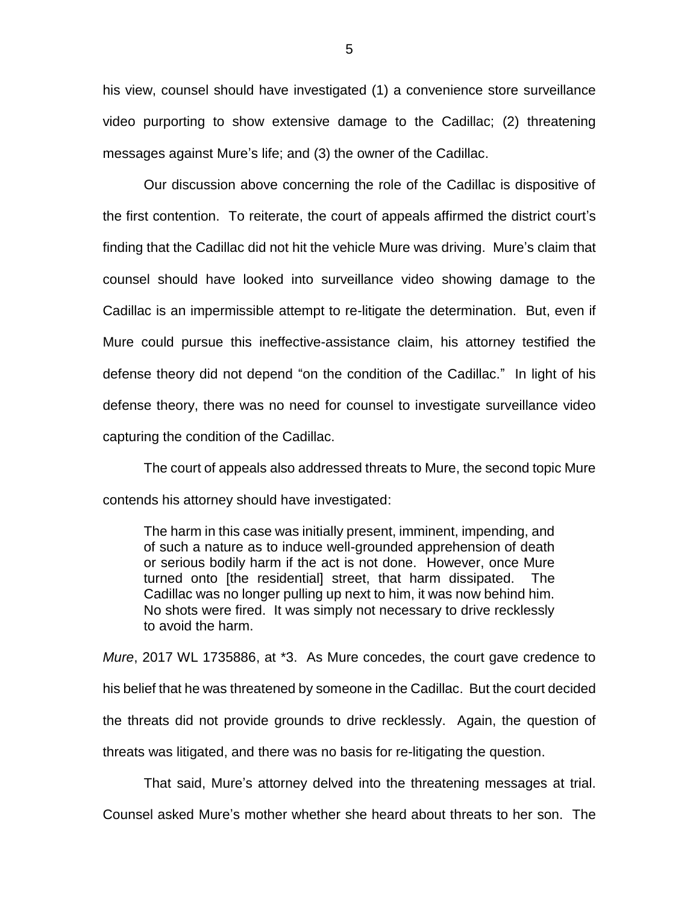his view, counsel should have investigated (1) a convenience store surveillance video purporting to show extensive damage to the Cadillac; (2) threatening messages against Mure's life; and (3) the owner of the Cadillac.

Our discussion above concerning the role of the Cadillac is dispositive of the first contention. To reiterate, the court of appeals affirmed the district court's finding that the Cadillac did not hit the vehicle Mure was driving. Mure's claim that counsel should have looked into surveillance video showing damage to the Cadillac is an impermissible attempt to re-litigate the determination. But, even if Mure could pursue this ineffective-assistance claim, his attorney testified the defense theory did not depend "on the condition of the Cadillac." In light of his defense theory, there was no need for counsel to investigate surveillance video capturing the condition of the Cadillac.

The court of appeals also addressed threats to Mure, the second topic Mure contends his attorney should have investigated:

The harm in this case was initially present, imminent, impending, and of such a nature as to induce well-grounded apprehension of death or serious bodily harm if the act is not done. However, once Mure turned onto [the residential] street, that harm dissipated. The Cadillac was no longer pulling up next to him, it was now behind him. No shots were fired. It was simply not necessary to drive recklessly to avoid the harm.

*Mure*, 2017 WL 1735886, at \*3. As Mure concedes, the court gave credence to his belief that he was threatened by someone in the Cadillac. But the court decided the threats did not provide grounds to drive recklessly. Again, the question of threats was litigated, and there was no basis for re-litigating the question.

That said, Mure's attorney delved into the threatening messages at trial.

Counsel asked Mure's mother whether she heard about threats to her son. The